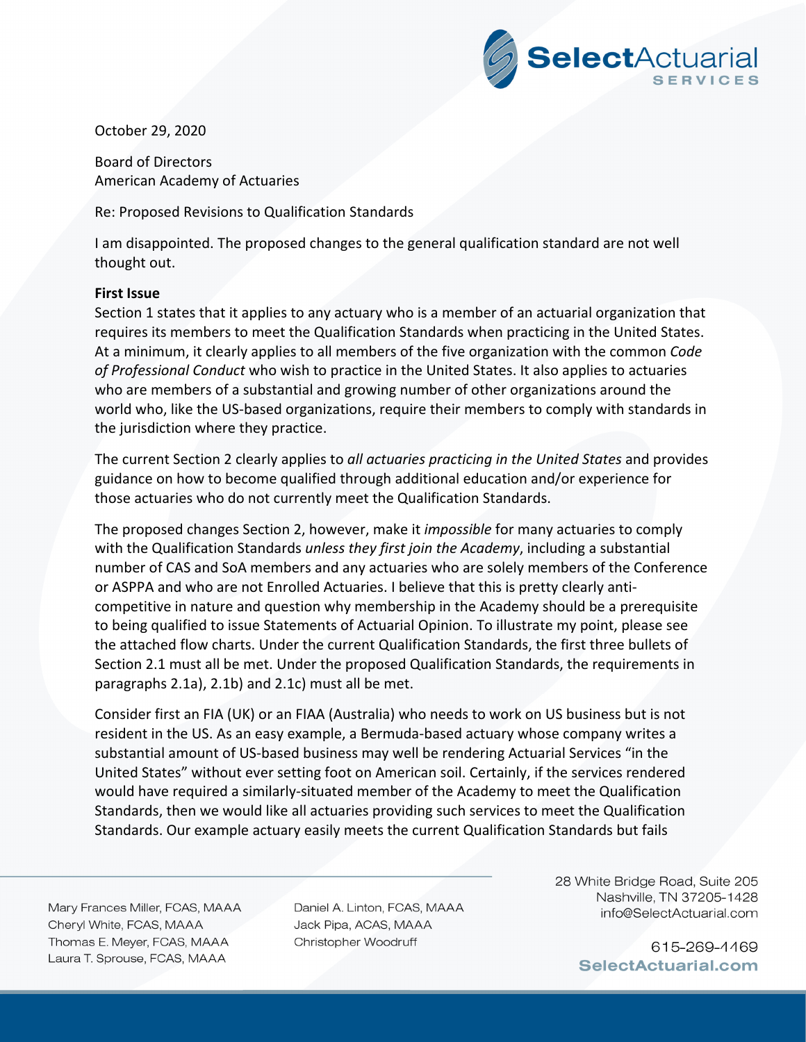

October 29, 2020

Board of Directors American Academy of Actuaries

Re: Proposed Revisions to Qualification Standards

I am disappointed. The proposed changes to the general qualification standard are not well thought out.

## **First Issue**

Section 1 states that it applies to any actuary who is a member of an actuarial organization that requires its members to meet the Qualification Standards when practicing in the United States. At a minimum, it clearly applies to all members of the five organization with the common *Code of Professional Conduct* who wish to practice in the United States. It also applies to actuaries who are members of a substantial and growing number of other organizations around the world who, like the US-based organizations, require their members to comply with standards in the jurisdiction where they practice.

The current Section 2 clearly applies to *all actuaries practicing in the United States* and provides guidance on how to become qualified through additional education and/or experience for those actuaries who do not currently meet the Qualification Standards.

The proposed changes Section 2, however, make it *impossible* for many actuaries to comply with the Qualification Standards *unless they first join the Academy*, including a substantial number of CAS and SoA members and any actuaries who are solely members of the Conference or ASPPA and who are not Enrolled Actuaries. I believe that this is pretty clearly anti‐ competitive in nature and question why membership in the Academy should be a prerequisite to being qualified to issue Statements of Actuarial Opinion. To illustrate my point, please see the attached flow charts. Under the current Qualification Standards, the first three bullets of Section 2.1 must all be met. Under the proposed Qualification Standards, the requirements in paragraphs 2.1a), 2.1b) and 2.1c) must all be met.

Consider first an FIA (UK) or an FIAA (Australia) who needs to work on US business but is not resident in the US. As an easy example, a Bermuda‐based actuary whose company writes a substantial amount of US‐based business may well be rendering Actuarial Services "in the United States" without ever setting foot on American soil. Certainly, if the services rendered would have required a similarly‐situated member of the Academy to meet the Qualification Standards, then we would like all actuaries providing such services to meet the Qualification Standards. Our example actuary easily meets the current Qualification Standards but fails

Mary Frances Miller, FCAS, MAAA Cheryl White, FCAS, MAAA Thomas E. Meyer, FCAS, MAAA Laura T. Sprouse, FCAS, MAAA

Daniel A. Linton, FCAS, MAAA Jack Pipa, ACAS, MAAA Christopher Woodruff

28 White Bridge Road, Suite 205 Nashville, TN 37205-1428 info@SelectActuarial.com

> 615-269-4469 SelectActuarial.com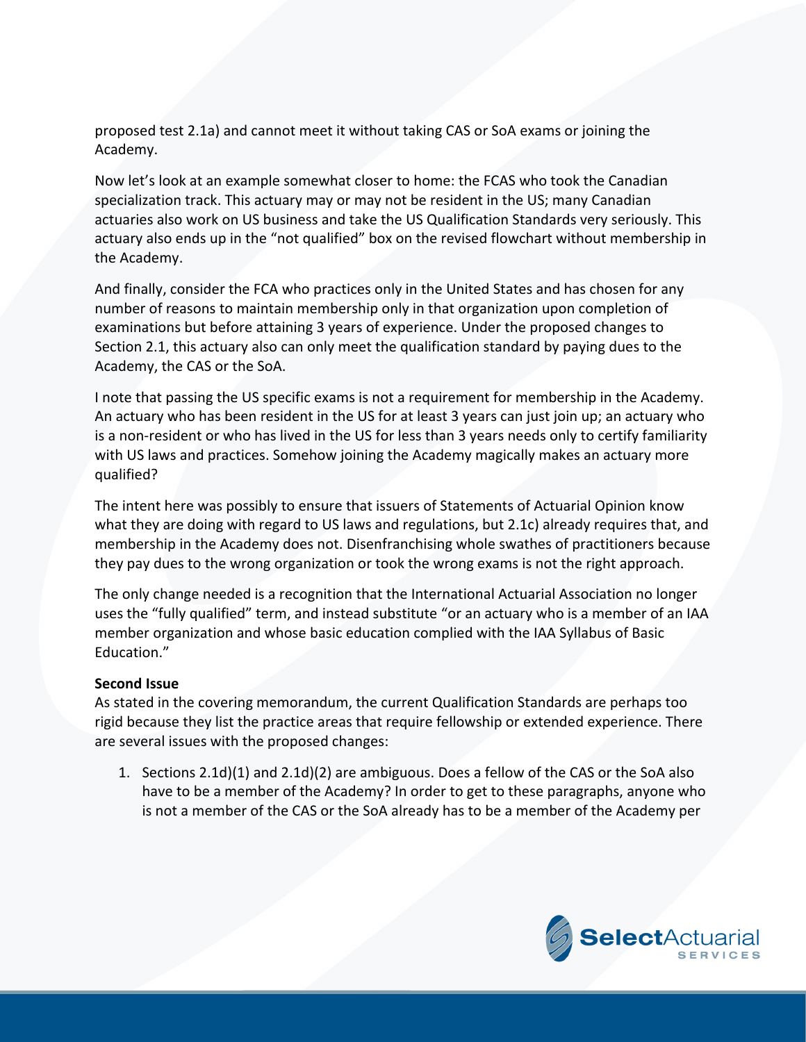proposed test 2.1a) and cannot meet it without taking CAS or SoA exams or joining the Academy.

Now let's look at an example somewhat closer to home: the FCAS who took the Canadian specialization track. This actuary may or may not be resident in the US; many Canadian actuaries also work on US business and take the US Qualification Standards very seriously. This actuary also ends up in the "not qualified" box on the revised flowchart without membership in the Academy.

And finally, consider the FCA who practices only in the United States and has chosen for any number of reasons to maintain membership only in that organization upon completion of examinations but before attaining 3 years of experience. Under the proposed changes to Section 2.1, this actuary also can only meet the qualification standard by paying dues to the Academy, the CAS or the SoA.

I note that passing the US specific exams is not a requirement for membership in the Academy. An actuary who has been resident in the US for at least 3 years can just join up; an actuary who is a non‐resident or who has lived in the US for less than 3 years needs only to certify familiarity with US laws and practices. Somehow joining the Academy magically makes an actuary more qualified?

The intent here was possibly to ensure that issuers of Statements of Actuarial Opinion know what they are doing with regard to US laws and regulations, but 2.1c) already requires that, and membership in the Academy does not. Disenfranchising whole swathes of practitioners because they pay dues to the wrong organization or took the wrong exams is not the right approach.

The only change needed is a recognition that the International Actuarial Association no longer uses the "fully qualified" term, and instead substitute "or an actuary who is a member of an IAA member organization and whose basic education complied with the IAA Syllabus of Basic Education."

## **Second Issue**

As stated in the covering memorandum, the current Qualification Standards are perhaps too rigid because they list the practice areas that require fellowship or extended experience. There are several issues with the proposed changes:

1. Sections 2.1d)(1) and 2.1d)(2) are ambiguous. Does a fellow of the CAS or the SoA also have to be a member of the Academy? In order to get to these paragraphs, anyone who is not a member of the CAS or the SoA already has to be a member of the Academy per

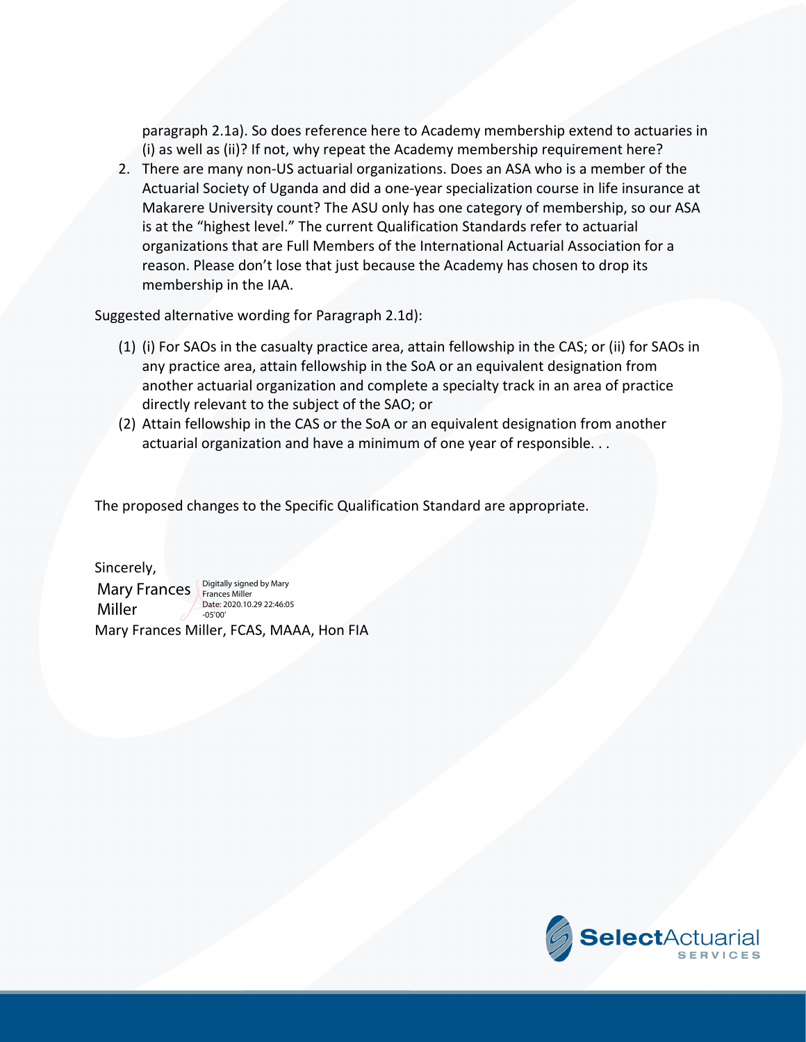paragraph 2.1a). So does reference here to Academy membership extend to actuaries in (i) as well as (ii)? If not, why repeat the Academy membership requirement here?

2. There are many non‐US actuarial organizations. Does an ASA who is a member of the Actuarial Society of Uganda and did a one‐year specialization course in life insurance at Makarere University count? The ASU only has one category of membership, so our ASA is at the "highest level." The current Qualification Standards refer to actuarial organizations that are Full Members of the International Actuarial Association for a reason. Please don't lose that just because the Academy has chosen to drop its membership in the IAA.

Suggested alternative wording for Paragraph 2.1d):

- (1) (i) For SAOs in the casualty practice area, attain fellowship in the CAS; or (ii) for SAOs in any practice area, attain fellowship in the SoA or an equivalent designation from another actuarial organization and complete a specialty track in an area of practice directly relevant to the subject of the SAO; or
- (2) Attain fellowship in the CAS or the SoA or an equivalent designation from another actuarial organization and have a minimum of one year of responsible. . .

The proposed changes to the Specific Qualification Standard are appropriate.

Sincerely,

Miller

Mary Frances Miller, FCAS, MAAA, Hon FIA Mary Frances **Poly Standally signed by Mary** Date: 2020.10.29 22:46:05 -05'00'

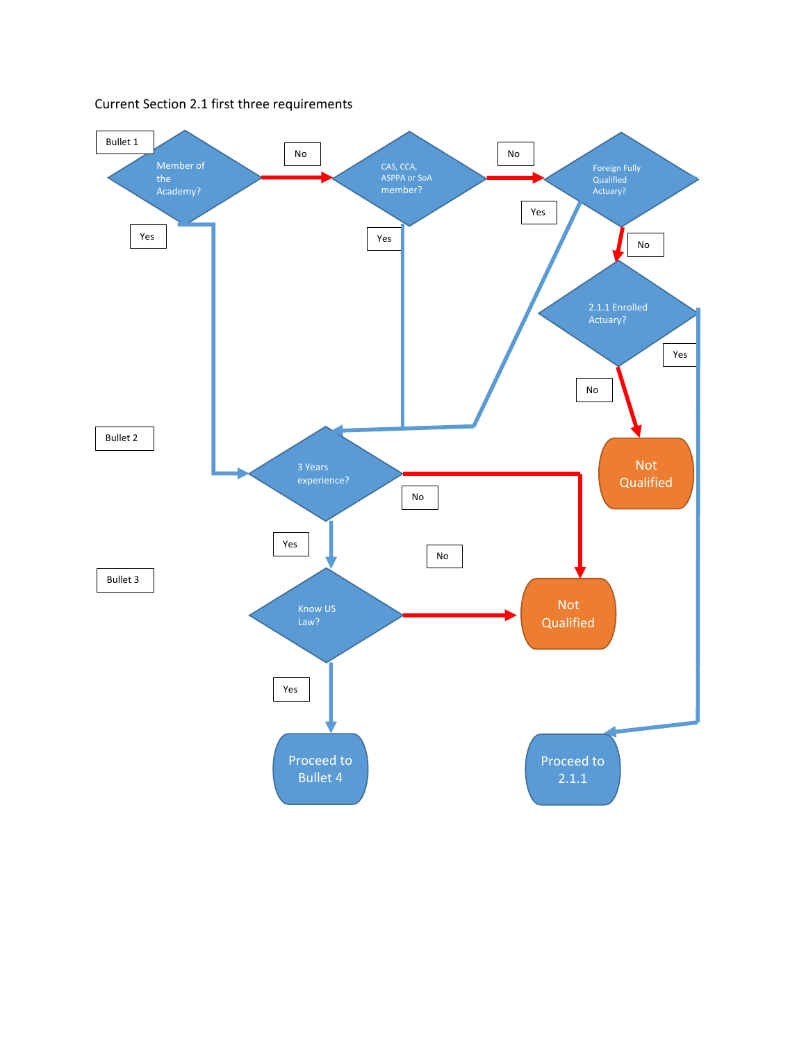

## Current Section 2.1 first three requirements